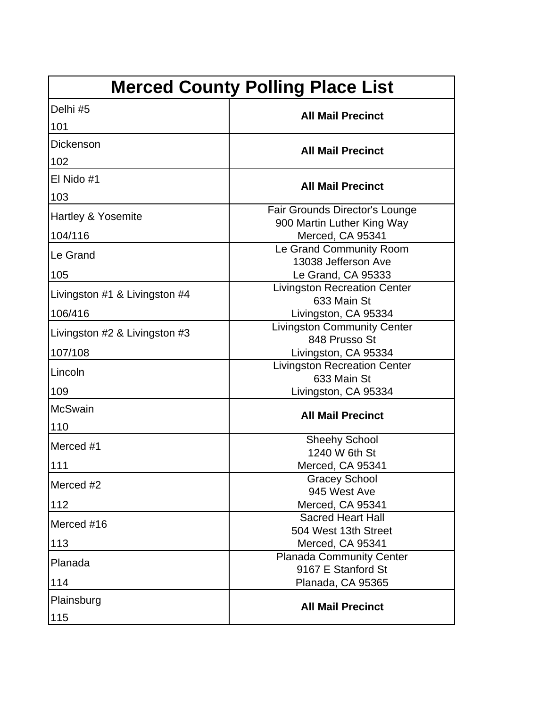| <b>Merced County Polling Place List</b> |                                                             |
|-----------------------------------------|-------------------------------------------------------------|
| Delhi #5                                | <b>All Mail Precinct</b>                                    |
| 101                                     |                                                             |
| Dickenson                               | <b>All Mail Precinct</b>                                    |
| 102                                     |                                                             |
| El Nido #1                              | <b>All Mail Precinct</b>                                    |
| 103                                     |                                                             |
| Hartley & Yosemite                      | Fair Grounds Director's Lounge                              |
| 104/116                                 | 900 Martin Luther King Way<br>Merced, CA 95341              |
| Le Grand                                | Le Grand Community Room                                     |
|                                         | 13038 Jefferson Ave                                         |
| 105                                     | Le Grand, CA 95333<br><b>Livingston Recreation Center</b>   |
| Livingston #1 & Livingston #4           | 633 Main St                                                 |
| 106/416                                 | Livingston, CA 95334                                        |
| Livingston #2 & Livingston #3           | <b>Livingston Community Center</b>                          |
|                                         | 848 Prusso St                                               |
| 107/108                                 | Livingston, CA 95334<br><b>Livingston Recreation Center</b> |
| Lincoln                                 | 633 Main St                                                 |
| 109                                     | Livingston, CA 95334                                        |
| <b>McSwain</b>                          |                                                             |
| 110                                     | <b>All Mail Precinct</b>                                    |
| Merced #1                               | <b>Sheehy School</b>                                        |
|                                         | 1240 W 6th St                                               |
| 111                                     | Merced, CA 95341                                            |
| Merced #2                               | <b>Gracey School</b><br>945 West Ave                        |
| 112                                     | Merced, CA 95341                                            |
| Merced #16                              | <b>Sacred Heart Hall</b>                                    |
|                                         | 504 West 13th Street                                        |
| 113                                     | Merced, CA 95341                                            |
| Planada                                 | <b>Planada Community Center</b><br>9167 E Stanford St       |
| 114                                     | Planada, CA 95365                                           |
| Plainsburg                              |                                                             |
|                                         | <b>All Mail Precinct</b>                                    |
| 115                                     |                                                             |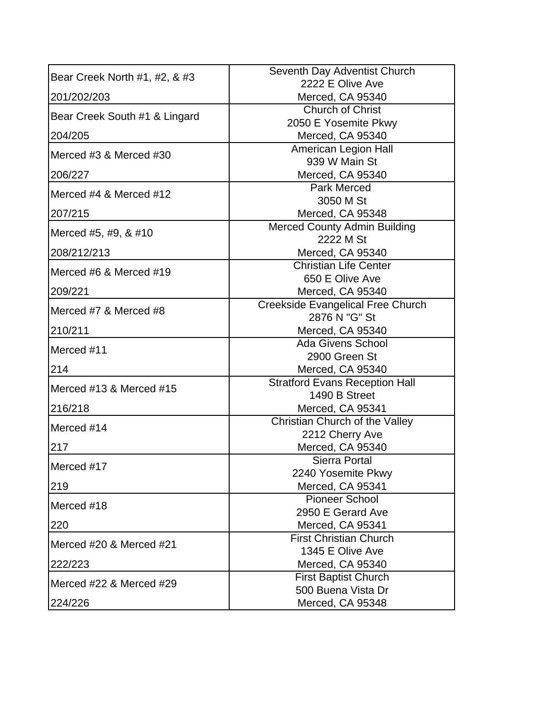| 2222 E Olive Ave<br>Merced, CA 95340<br><b>Church of Christ</b><br>Bear Creek South #1 & Lingard<br>2050 E Yosemite Pkwy<br>204/205<br>Merced, CA 95340<br>American Legion Hall<br>939 W Main St<br>206/227<br>Merced, CA 95340<br><b>Park Merced</b><br>3050 M St<br>Merced, CA 95348<br>207/215<br><b>Merced County Admin Building</b><br>Merced #5, #9, & #10<br>2222 M St<br>Merced, CA 95340<br><b>Christian Life Center</b><br>Merced #6 & Merced #19<br>650 E Olive Ave<br>Merced, CA 95340<br><b>Creekside Evangelical Free Church</b><br>Merced #7 & Merced #8<br>2876 N "G" St<br>210/211<br>Merced, CA 95340<br><b>Ada Givens School</b><br>2900 Green St<br>214<br>Merced, CA 95340<br><b>Stratford Evans Reception Hall</b><br>1490 B Street<br>216/218<br>Merced, CA 95341<br>Christian Church of the Valley<br>Merced #14<br>2212 Cherry Ave<br>Merced, CA 95340<br><b>Sierra Portal</b><br>Merced #17<br>2240 Yosemite Pkwy<br>Merced, CA 95341<br><b>Pioneer School</b><br>Merced #18<br>2950 E Gerard Ave<br>220<br>Merced, CA 95341<br><b>First Christian Church</b><br>1345 E Olive Ave<br>222/223<br>Merced, CA 95340<br><b>First Baptist Church</b><br>Merced #22 & Merced #29<br>500 Buena Vista Dr<br>Merced, CA 95348 | Bear Creek North #1, #2, & #3 | Seventh Day Adventist Church |
|------------------------------------------------------------------------------------------------------------------------------------------------------------------------------------------------------------------------------------------------------------------------------------------------------------------------------------------------------------------------------------------------------------------------------------------------------------------------------------------------------------------------------------------------------------------------------------------------------------------------------------------------------------------------------------------------------------------------------------------------------------------------------------------------------------------------------------------------------------------------------------------------------------------------------------------------------------------------------------------------------------------------------------------------------------------------------------------------------------------------------------------------------------------------------------------------------------------------------------------------|-------------------------------|------------------------------|
|                                                                                                                                                                                                                                                                                                                                                                                                                                                                                                                                                                                                                                                                                                                                                                                                                                                                                                                                                                                                                                                                                                                                                                                                                                                |                               |                              |
|                                                                                                                                                                                                                                                                                                                                                                                                                                                                                                                                                                                                                                                                                                                                                                                                                                                                                                                                                                                                                                                                                                                                                                                                                                                | 201/202/203                   |                              |
|                                                                                                                                                                                                                                                                                                                                                                                                                                                                                                                                                                                                                                                                                                                                                                                                                                                                                                                                                                                                                                                                                                                                                                                                                                                |                               |                              |
|                                                                                                                                                                                                                                                                                                                                                                                                                                                                                                                                                                                                                                                                                                                                                                                                                                                                                                                                                                                                                                                                                                                                                                                                                                                |                               |                              |
|                                                                                                                                                                                                                                                                                                                                                                                                                                                                                                                                                                                                                                                                                                                                                                                                                                                                                                                                                                                                                                                                                                                                                                                                                                                |                               |                              |
|                                                                                                                                                                                                                                                                                                                                                                                                                                                                                                                                                                                                                                                                                                                                                                                                                                                                                                                                                                                                                                                                                                                                                                                                                                                | Merced #3 & Merced #30        |                              |
|                                                                                                                                                                                                                                                                                                                                                                                                                                                                                                                                                                                                                                                                                                                                                                                                                                                                                                                                                                                                                                                                                                                                                                                                                                                |                               |                              |
|                                                                                                                                                                                                                                                                                                                                                                                                                                                                                                                                                                                                                                                                                                                                                                                                                                                                                                                                                                                                                                                                                                                                                                                                                                                |                               |                              |
|                                                                                                                                                                                                                                                                                                                                                                                                                                                                                                                                                                                                                                                                                                                                                                                                                                                                                                                                                                                                                                                                                                                                                                                                                                                | Merced #4 & Merced #12        |                              |
|                                                                                                                                                                                                                                                                                                                                                                                                                                                                                                                                                                                                                                                                                                                                                                                                                                                                                                                                                                                                                                                                                                                                                                                                                                                |                               |                              |
|                                                                                                                                                                                                                                                                                                                                                                                                                                                                                                                                                                                                                                                                                                                                                                                                                                                                                                                                                                                                                                                                                                                                                                                                                                                |                               |                              |
|                                                                                                                                                                                                                                                                                                                                                                                                                                                                                                                                                                                                                                                                                                                                                                                                                                                                                                                                                                                                                                                                                                                                                                                                                                                |                               |                              |
|                                                                                                                                                                                                                                                                                                                                                                                                                                                                                                                                                                                                                                                                                                                                                                                                                                                                                                                                                                                                                                                                                                                                                                                                                                                | 208/212/213                   |                              |
|                                                                                                                                                                                                                                                                                                                                                                                                                                                                                                                                                                                                                                                                                                                                                                                                                                                                                                                                                                                                                                                                                                                                                                                                                                                |                               |                              |
|                                                                                                                                                                                                                                                                                                                                                                                                                                                                                                                                                                                                                                                                                                                                                                                                                                                                                                                                                                                                                                                                                                                                                                                                                                                |                               |                              |
|                                                                                                                                                                                                                                                                                                                                                                                                                                                                                                                                                                                                                                                                                                                                                                                                                                                                                                                                                                                                                                                                                                                                                                                                                                                | 209/221                       |                              |
|                                                                                                                                                                                                                                                                                                                                                                                                                                                                                                                                                                                                                                                                                                                                                                                                                                                                                                                                                                                                                                                                                                                                                                                                                                                |                               |                              |
|                                                                                                                                                                                                                                                                                                                                                                                                                                                                                                                                                                                                                                                                                                                                                                                                                                                                                                                                                                                                                                                                                                                                                                                                                                                |                               |                              |
|                                                                                                                                                                                                                                                                                                                                                                                                                                                                                                                                                                                                                                                                                                                                                                                                                                                                                                                                                                                                                                                                                                                                                                                                                                                |                               |                              |
|                                                                                                                                                                                                                                                                                                                                                                                                                                                                                                                                                                                                                                                                                                                                                                                                                                                                                                                                                                                                                                                                                                                                                                                                                                                | Merced #11                    |                              |
|                                                                                                                                                                                                                                                                                                                                                                                                                                                                                                                                                                                                                                                                                                                                                                                                                                                                                                                                                                                                                                                                                                                                                                                                                                                |                               |                              |
|                                                                                                                                                                                                                                                                                                                                                                                                                                                                                                                                                                                                                                                                                                                                                                                                                                                                                                                                                                                                                                                                                                                                                                                                                                                |                               |                              |
|                                                                                                                                                                                                                                                                                                                                                                                                                                                                                                                                                                                                                                                                                                                                                                                                                                                                                                                                                                                                                                                                                                                                                                                                                                                | Merced #13 & Merced #15       |                              |
|                                                                                                                                                                                                                                                                                                                                                                                                                                                                                                                                                                                                                                                                                                                                                                                                                                                                                                                                                                                                                                                                                                                                                                                                                                                |                               |                              |
|                                                                                                                                                                                                                                                                                                                                                                                                                                                                                                                                                                                                                                                                                                                                                                                                                                                                                                                                                                                                                                                                                                                                                                                                                                                |                               |                              |
|                                                                                                                                                                                                                                                                                                                                                                                                                                                                                                                                                                                                                                                                                                                                                                                                                                                                                                                                                                                                                                                                                                                                                                                                                                                |                               |                              |
|                                                                                                                                                                                                                                                                                                                                                                                                                                                                                                                                                                                                                                                                                                                                                                                                                                                                                                                                                                                                                                                                                                                                                                                                                                                | 217                           |                              |
|                                                                                                                                                                                                                                                                                                                                                                                                                                                                                                                                                                                                                                                                                                                                                                                                                                                                                                                                                                                                                                                                                                                                                                                                                                                |                               |                              |
|                                                                                                                                                                                                                                                                                                                                                                                                                                                                                                                                                                                                                                                                                                                                                                                                                                                                                                                                                                                                                                                                                                                                                                                                                                                |                               |                              |
|                                                                                                                                                                                                                                                                                                                                                                                                                                                                                                                                                                                                                                                                                                                                                                                                                                                                                                                                                                                                                                                                                                                                                                                                                                                | 219                           |                              |
|                                                                                                                                                                                                                                                                                                                                                                                                                                                                                                                                                                                                                                                                                                                                                                                                                                                                                                                                                                                                                                                                                                                                                                                                                                                |                               |                              |
|                                                                                                                                                                                                                                                                                                                                                                                                                                                                                                                                                                                                                                                                                                                                                                                                                                                                                                                                                                                                                                                                                                                                                                                                                                                |                               |                              |
|                                                                                                                                                                                                                                                                                                                                                                                                                                                                                                                                                                                                                                                                                                                                                                                                                                                                                                                                                                                                                                                                                                                                                                                                                                                |                               |                              |
|                                                                                                                                                                                                                                                                                                                                                                                                                                                                                                                                                                                                                                                                                                                                                                                                                                                                                                                                                                                                                                                                                                                                                                                                                                                | Merced #20 & Merced #21       |                              |
|                                                                                                                                                                                                                                                                                                                                                                                                                                                                                                                                                                                                                                                                                                                                                                                                                                                                                                                                                                                                                                                                                                                                                                                                                                                |                               |                              |
|                                                                                                                                                                                                                                                                                                                                                                                                                                                                                                                                                                                                                                                                                                                                                                                                                                                                                                                                                                                                                                                                                                                                                                                                                                                |                               |                              |
|                                                                                                                                                                                                                                                                                                                                                                                                                                                                                                                                                                                                                                                                                                                                                                                                                                                                                                                                                                                                                                                                                                                                                                                                                                                |                               |                              |
|                                                                                                                                                                                                                                                                                                                                                                                                                                                                                                                                                                                                                                                                                                                                                                                                                                                                                                                                                                                                                                                                                                                                                                                                                                                | 224/226                       |                              |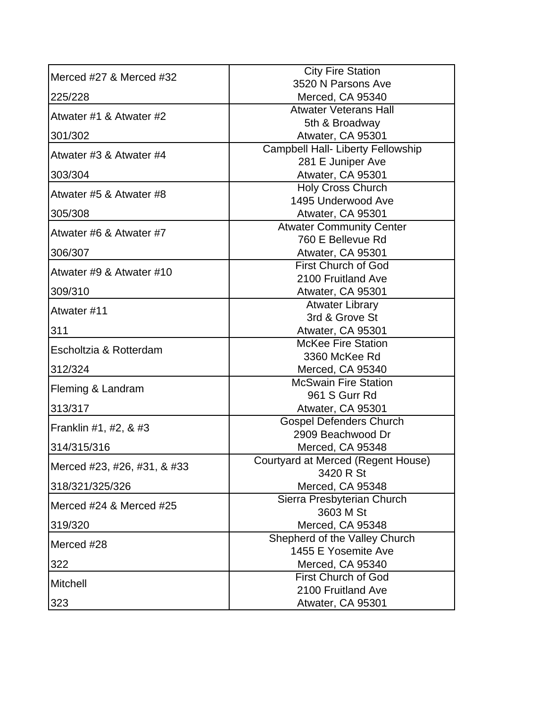| Merced #27 & Merced #32      | <b>City Fire Station</b>                            |
|------------------------------|-----------------------------------------------------|
|                              | 3520 N Parsons Ave                                  |
| 225/228                      | Merced, CA 95340                                    |
| Atwater #1 & Atwater #2      | <b>Atwater Veterans Hall</b>                        |
|                              | 5th & Broadway                                      |
| 301/302                      | Atwater, CA 95301                                   |
| Atwater #3 & Atwater #4      | <b>Campbell Hall- Liberty Fellowship</b>            |
|                              | 281 E Juniper Ave                                   |
| 303/304                      | Atwater, CA 95301<br>Holy Cross Church              |
| Atwater #5 & Atwater #8      | 1495 Underwood Ave                                  |
| 305/308                      | Atwater, CA 95301                                   |
|                              | <b>Atwater Community Center</b>                     |
| Atwater #6 & Atwater #7      | 760 E Bellevue Rd                                   |
| 306/307                      | Atwater, CA 95301                                   |
|                              | <b>First Church of God</b>                          |
| Atwater #9 & Atwater #10     | 2100 Fruitland Ave                                  |
| 309/310                      | Atwater, CA 95301                                   |
| Atwater #11                  | <b>Atwater Library</b>                              |
|                              | 3rd & Grove St                                      |
| 311                          | Atwater, CA 95301                                   |
| Escholtzia & Rotterdam       | <b>McKee Fire Station</b>                           |
|                              | 3360 McKee Rd                                       |
| 312/324                      | Merced, CA 95340                                    |
| <b>Fleming &amp; Landram</b> | <b>McSwain Fire Station</b>                         |
|                              | 961 S Gurr Rd                                       |
| 313/317                      | Atwater, CA 95301                                   |
| Franklin #1, #2, & #3        | <b>Gospel Defenders Church</b><br>2909 Beachwood Dr |
| 314/315/316                  | Merced, CA 95348                                    |
|                              | Courtyard at Merced (Regent House)                  |
| Merced #23, #26, #31, & #33  | 3420 R St                                           |
| 318/321/325/326              | Merced, CA 95348                                    |
|                              | Sierra Presbyterian Church                          |
| Merced #24 & Merced #25      | 3603 M St                                           |
| 319/320                      | Merced, CA 95348                                    |
| Merced #28                   | Shepherd of the Valley Church                       |
|                              | 1455 E Yosemite Ave                                 |
| 322                          | Merced, CA 95340                                    |
| Mitchell                     | <b>First Church of God</b>                          |
|                              | 2100 Fruitland Ave                                  |
| 323                          | Atwater, CA 95301                                   |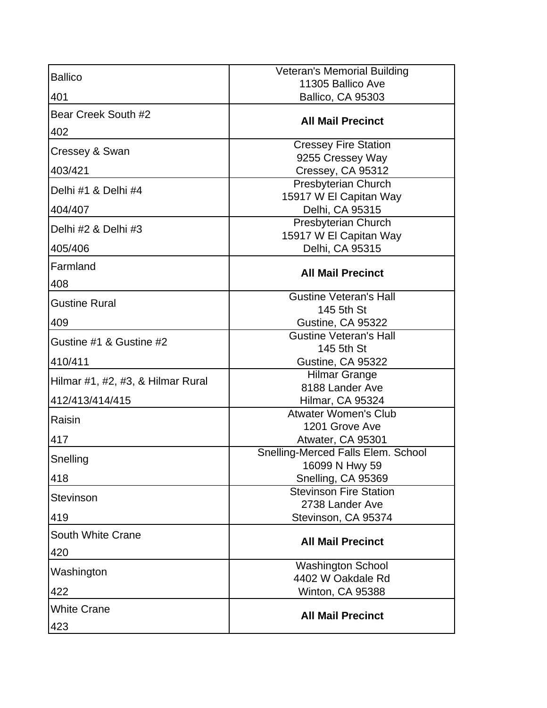| <b>Ballico</b>                    | <b>Veteran's Memorial Building</b>                  |
|-----------------------------------|-----------------------------------------------------|
|                                   | 11305 Ballico Ave                                   |
| 401                               | Ballico, CA 95303                                   |
| Bear Creek South #2               | <b>All Mail Precinct</b>                            |
| 402                               |                                                     |
| Cressey & Swan                    | <b>Cressey Fire Station</b>                         |
| 403/421                           | 9255 Cressey Way<br>Cressey, CA 95312               |
|                                   | Presbyterian Church                                 |
| Delhi #1 & Delhi #4               | 15917 W El Capitan Way                              |
| 404/407                           | Delhi, CA 95315                                     |
| Delhi #2 & Delhi #3               | Presbyterian Church                                 |
|                                   | 15917 W El Capitan Way                              |
| 405/406                           | Delhi, CA 95315                                     |
| Farmland                          | <b>All Mail Precinct</b>                            |
| 408                               |                                                     |
| <b>Gustine Rural</b>              | <b>Gustine Veteran's Hall</b>                       |
|                                   | 145 5th St                                          |
| 409                               | Gustine, CA 95322                                   |
| Gustine #1 & Gustine #2           | <b>Gustine Veteran's Hall</b>                       |
| 410/411                           | 145 5th St                                          |
|                                   | Gustine, CA 95322<br><b>Hilmar Grange</b>           |
| Hilmar #1, #2, #3, & Hilmar Rural | 8188 Lander Ave                                     |
| 412/413/414/415                   | Hilmar, CA 95324                                    |
|                                   | <b>Atwater Women's Club</b>                         |
| Raisin                            | 1201 Grove Ave                                      |
| 417                               | Atwater, CA 95301                                   |
| Snelling                          | <b>Snelling-Merced Falls Elem. School</b>           |
|                                   | 16099 N Hwy 59                                      |
| 418                               | Snelling, CA 95369<br><b>Stevinson Fire Station</b> |
| <b>Stevinson</b>                  | 2738 Lander Ave                                     |
| 419                               | Stevinson, CA 95374                                 |
| <b>South White Crane</b>          |                                                     |
|                                   | <b>All Mail Precinct</b>                            |
| 420                               |                                                     |
| Washington                        | <b>Washington School</b><br>4402 W Oakdale Rd       |
| 422                               | Winton, CA 95388                                    |
|                                   |                                                     |
| <b>White Crane</b>                | <b>All Mail Precinct</b>                            |
| 423                               |                                                     |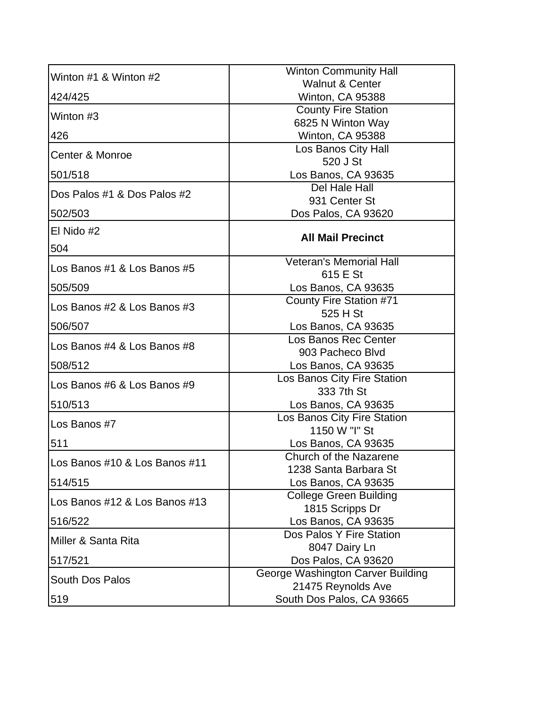| Winton #1 & Winton #2         | <b>Winton Community Hall</b>                             |
|-------------------------------|----------------------------------------------------------|
|                               | <b>Walnut &amp; Center</b>                               |
| 424/425                       | Winton, CA 95388                                         |
| Winton #3                     | <b>County Fire Station</b>                               |
|                               | 6825 N Winton Way                                        |
| 426                           | Winton, CA 95388                                         |
| Center & Monroe               | Los Banos City Hall                                      |
|                               | 520 J St                                                 |
| 501/518                       | Los Banos, CA 93635<br>Del Hale Hall                     |
| Dos Palos #1 & Dos Palos #2   | 931 Center St                                            |
| 502/503                       | Dos Palos, CA 93620                                      |
| El Nido #2                    |                                                          |
|                               | <b>All Mail Precinct</b>                                 |
| 504                           |                                                          |
| Los Banos #1 & Los Banos #5   | <b>Veteran's Memorial Hall</b>                           |
|                               | 615 E St                                                 |
| 505/509                       | Los Banos, CA 93635                                      |
| Los Banos #2 & Los Banos #3   | County Fire Station #71                                  |
|                               | 525 H St                                                 |
| 506/507                       | Los Banos, CA 93635<br>Los Banos Rec Center              |
| Los Banos #4 & Los Banos #8   | 903 Pacheco Blvd                                         |
| 508/512                       | Los Banos, CA 93635                                      |
|                               | Los Banos City Fire Station                              |
| Los Banos #6 & Los Banos #9   | 333 7th St                                               |
| 510/513                       | Los Banos, CA 93635                                      |
|                               | Los Banos City Fire Station                              |
| Los Banos #7                  | 1150 W "I" St                                            |
| 511                           | Los Banos, CA 93635                                      |
| Los Banos #10 & Los Banos #11 | Church of the Nazarene                                   |
|                               | 1238 Santa Barbara St                                    |
| 514/515                       | Los Banos, CA 93635                                      |
| Los Banos #12 & Los Banos #13 | <b>College Green Building</b>                            |
|                               | 1815 Scripps Dr                                          |
| 516/522                       | Los Banos, CA 93635                                      |
| Miller & Santa Rita           | Dos Palos Y Fire Station                                 |
|                               | 8047 Dairy Ln                                            |
| 517/521                       | Dos Palos, CA 93620<br>George Washington Carver Building |
| <b>South Dos Palos</b>        | 21475 Reynolds Ave                                       |
| 519                           | South Dos Palos, CA 93665                                |
|                               |                                                          |